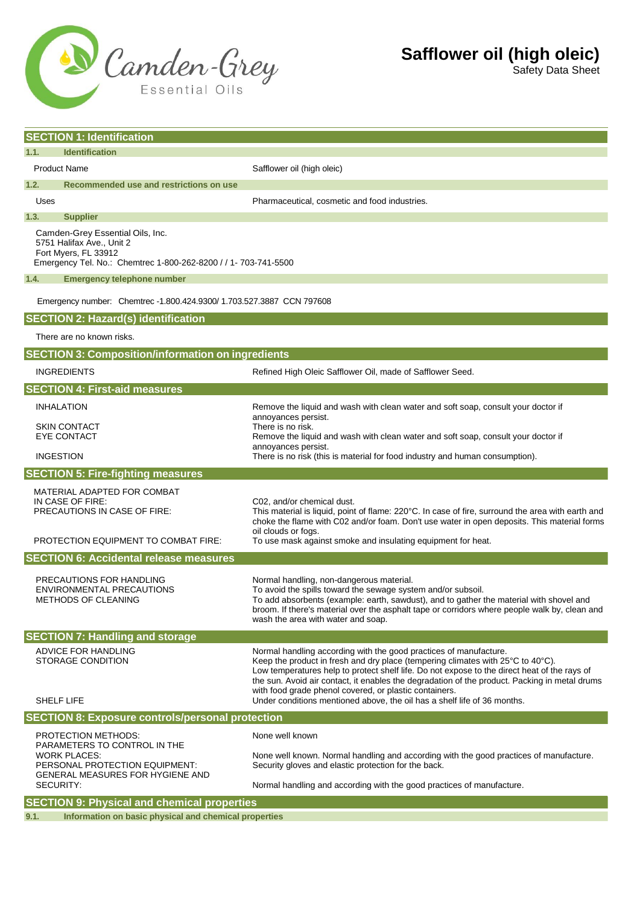

| <b>SECTION 1: Identification</b>                                                                                                                         |                                                                                                                                                                      |                                                                                                                                                                                                                                                                                                                                                                                                                                                                                                                 |  |
|----------------------------------------------------------------------------------------------------------------------------------------------------------|----------------------------------------------------------------------------------------------------------------------------------------------------------------------|-----------------------------------------------------------------------------------------------------------------------------------------------------------------------------------------------------------------------------------------------------------------------------------------------------------------------------------------------------------------------------------------------------------------------------------------------------------------------------------------------------------------|--|
| 1.1.<br><b>Identification</b>                                                                                                                            |                                                                                                                                                                      |                                                                                                                                                                                                                                                                                                                                                                                                                                                                                                                 |  |
|                                                                                                                                                          |                                                                                                                                                                      |                                                                                                                                                                                                                                                                                                                                                                                                                                                                                                                 |  |
| <b>Product Name</b><br>Safflower oil (high oleic)                                                                                                        |                                                                                                                                                                      |                                                                                                                                                                                                                                                                                                                                                                                                                                                                                                                 |  |
| 1.2.                                                                                                                                                     | Recommended use and restrictions on use                                                                                                                              |                                                                                                                                                                                                                                                                                                                                                                                                                                                                                                                 |  |
| Uses<br>1.3.                                                                                                                                             | <b>Supplier</b>                                                                                                                                                      | Pharmaceutical, cosmetic and food industries.                                                                                                                                                                                                                                                                                                                                                                                                                                                                   |  |
| Camden-Grey Essential Oils, Inc.<br>5751 Halifax Ave., Unit 2<br>Fort Myers, FL 33912<br>Emergency Tel. No.: Chemtrec 1-800-262-8200 / / 1- 703-741-5500 |                                                                                                                                                                      |                                                                                                                                                                                                                                                                                                                                                                                                                                                                                                                 |  |
| 1.4.<br><b>Emergency telephone number</b>                                                                                                                |                                                                                                                                                                      |                                                                                                                                                                                                                                                                                                                                                                                                                                                                                                                 |  |
| Emergency number: Chemtrec -1.800.424.9300/ 1.703.527.3887 CCN 797608                                                                                    |                                                                                                                                                                      |                                                                                                                                                                                                                                                                                                                                                                                                                                                                                                                 |  |
|                                                                                                                                                          | <b>SECTION 2: Hazard(s) identification</b>                                                                                                                           |                                                                                                                                                                                                                                                                                                                                                                                                                                                                                                                 |  |
|                                                                                                                                                          | There are no known risks.                                                                                                                                            |                                                                                                                                                                                                                                                                                                                                                                                                                                                                                                                 |  |
| <b>SECTION 3: Composition/information on ingredients</b>                                                                                                 |                                                                                                                                                                      |                                                                                                                                                                                                                                                                                                                                                                                                                                                                                                                 |  |
|                                                                                                                                                          | <b>INGREDIENTS</b>                                                                                                                                                   | Refined High Oleic Safflower Oil, made of Safflower Seed.                                                                                                                                                                                                                                                                                                                                                                                                                                                       |  |
|                                                                                                                                                          | <b>SECTION 4: First-aid measures</b>                                                                                                                                 |                                                                                                                                                                                                                                                                                                                                                                                                                                                                                                                 |  |
|                                                                                                                                                          | <b>INHALATION</b>                                                                                                                                                    | Remove the liquid and wash with clean water and soft soap, consult your doctor if<br>annoyances persist.                                                                                                                                                                                                                                                                                                                                                                                                        |  |
|                                                                                                                                                          | <b>SKIN CONTACT</b><br><b>EYE CONTACT</b>                                                                                                                            | There is no risk.<br>Remove the liquid and wash with clean water and soft soap, consult your doctor if                                                                                                                                                                                                                                                                                                                                                                                                          |  |
|                                                                                                                                                          | <b>INGESTION</b>                                                                                                                                                     | annoyances persist.<br>There is no risk (this is material for food industry and human consumption).                                                                                                                                                                                                                                                                                                                                                                                                             |  |
| <b>SECTION 5: Fire-fighting measures</b>                                                                                                                 |                                                                                                                                                                      |                                                                                                                                                                                                                                                                                                                                                                                                                                                                                                                 |  |
|                                                                                                                                                          | MATERIAL ADAPTED FOR COMBAT                                                                                                                                          |                                                                                                                                                                                                                                                                                                                                                                                                                                                                                                                 |  |
|                                                                                                                                                          | IN CASE OF FIRE:<br>PRECAUTIONS IN CASE OF FIRE:                                                                                                                     | C02, and/or chemical dust.<br>This material is liquid, point of flame: 220°C. In case of fire, surround the area with earth and<br>choke the flame with C02 and/or foam. Don't use water in open deposits. This material forms<br>oil clouds or fogs.                                                                                                                                                                                                                                                           |  |
|                                                                                                                                                          | <b>PROTECTION EQUIPMENT TO COMBAT FIRE:</b>                                                                                                                          | To use mask against smoke and insulating equipment for heat.                                                                                                                                                                                                                                                                                                                                                                                                                                                    |  |
| <b>SECTION 6: Accidental release measures</b>                                                                                                            |                                                                                                                                                                      |                                                                                                                                                                                                                                                                                                                                                                                                                                                                                                                 |  |
|                                                                                                                                                          | PRECAUTIONS FOR HANDLING<br>ENVIRONMENTAL PRECAUTIONS<br><b>METHODS OF CLEANING</b>                                                                                  | Normal handling, non-dangerous material.<br>To avoid the spills toward the sewage system and/or subsoil.<br>To add absorbents (example: earth, sawdust), and to gather the material with shovel and<br>broom. If there's material over the asphalt tape or corridors where people walk by, clean and<br>wash the area with water and soap.                                                                                                                                                                      |  |
| <b>SECTION 7: Handling and storage</b>                                                                                                                   |                                                                                                                                                                      |                                                                                                                                                                                                                                                                                                                                                                                                                                                                                                                 |  |
|                                                                                                                                                          | ADVICE FOR HANDLING<br>STORAGE CONDITION<br>SHELF LIFE                                                                                                               | Normal handling according with the good practices of manufacture.<br>Keep the product in fresh and dry place (tempering climates with $25^{\circ}$ C to $40^{\circ}$ C).<br>Low temperatures help to protect shelf life. Do not expose to the direct heat of the rays of<br>the sun. Avoid air contact, it enables the degradation of the product. Packing in metal drums<br>with food grade phenol covered, or plastic containers.<br>Under conditions mentioned above, the oil has a shelf life of 36 months. |  |
| <b>SECTION 8: Exposure controls/personal protection</b>                                                                                                  |                                                                                                                                                                      |                                                                                                                                                                                                                                                                                                                                                                                                                                                                                                                 |  |
|                                                                                                                                                          | PROTECTION METHODS:<br>PARAMETERS TO CONTROL IN THE<br><b>WORK PLACES:</b><br>PERSONAL PROTECTION EQUIPMENT:<br>GENERAL MEASURES FOR HYGIENE AND<br><b>SECURITY:</b> | None well known<br>None well known. Normal handling and according with the good practices of manufacture.<br>Security gloves and elastic protection for the back.<br>Normal handling and according with the good practices of manufacture.                                                                                                                                                                                                                                                                      |  |
|                                                                                                                                                          |                                                                                                                                                                      |                                                                                                                                                                                                                                                                                                                                                                                                                                                                                                                 |  |

**9.1. Information on basic physical and chemical properties**